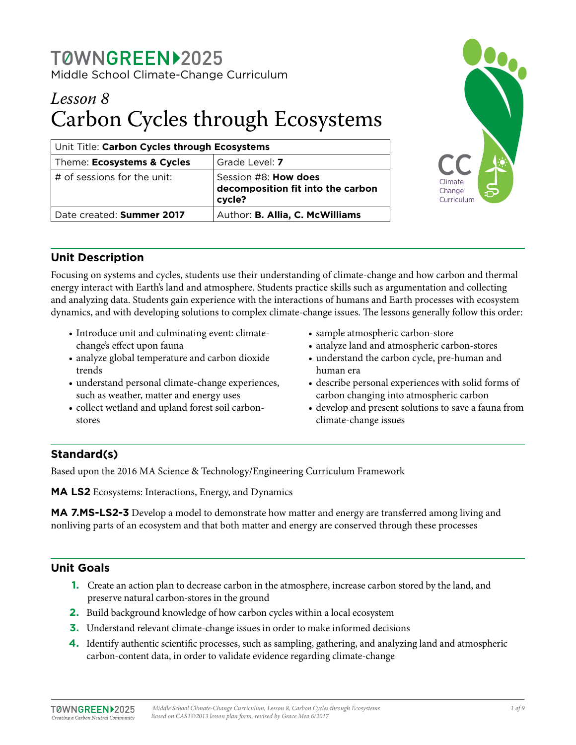# *Lesson 8* Carbon Cycles through Ecosystems

| Unit Title: Carbon Cycles through Ecosystems |                                                                            |
|----------------------------------------------|----------------------------------------------------------------------------|
| Theme: Ecosystems & Cycles                   | Grade Level: 7                                                             |
| $\#$ of sessions for the unit:               | Session #8: <b>How does</b><br>decomposition fit into the carbon<br>cycle? |
| Date created: Summer 2017                    | Author: B. Allia, C. McWilliams                                            |



## **Unit Description**

Focusing on systems and cycles, students use their understanding of climate-change and how carbon and thermal energy interact with Earth's land and atmosphere. Students practice skills such as argumentation and collecting and analyzing data. Students gain experience with the interactions of humans and Earth processes with ecosystem dynamics, and with developing solutions to complex climate-change issues. The lessons generally follow this order:

- Introduce unit and culminating event: climatechange's effect upon fauna
- analyze global temperature and carbon dioxide trends
- understand personal climate-change experiences, such as weather, matter and energy uses
- collect wetland and upland forest soil carbonstores
- sample atmospheric carbon-store
- analyze land and atmospheric carbon-stores
- understand the carbon cycle, pre-human and human era
- describe personal experiences with solid forms of carbon changing into atmospheric carbon
- develop and present solutions to save a fauna from climate-change issues

## **Standard(s)**

Based upon the 2016 MA Science & Technology/Engineering Curriculum Framework

**MA LS2** Ecosystems: Interactions, Energy, and Dynamics

**MA 7.MS-LS2-3** Develop a model to demonstrate how matter and energy are transferred among living and nonliving parts of an ecosystem and that both matter and energy are conserved through these processes

## **Unit Goals**

- **1.** Create an action plan to decrease carbon in the atmosphere, increase carbon stored by the land, and preserve natural carbon-stores in the ground
- **2.** Build background knowledge of how carbon cycles within a local ecosystem
- **3.** Understand relevant climate-change issues in order to make informed decisions
- **4.** Identify authentic scientific processes, such as sampling, gathering, and analyzing land and atmospheric carbon-content data, in order to validate evidence regarding climate-change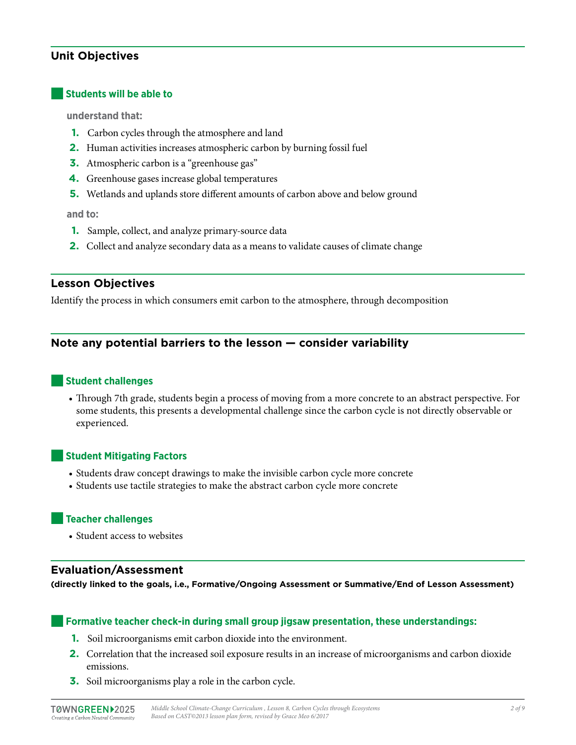## **Unit Objectives**

#### ■**Students will be able to**

**understand that:** 

- **1.** Carbon cycles through the atmosphere and land
- **2.** Human activities increases atmospheric carbon by burning fossil fuel
- **3.** Atmospheric carbon is a "greenhouse gas"
- **4.** Greenhouse gases increase global temperatures
- **5.** Wetlands and uplands store different amounts of carbon above and below ground

**and to:**

- **1.** Sample, collect, and analyze primary-source data
- **2.** Collect and analyze secondary data as a means to validate causes of climate change

#### **Lesson Objectives**

Identify the process in which consumers emit carbon to the atmosphere, through decomposition

### **Note any potential barriers to the lesson — consider variability**

#### ■**Student challenges**

• Through 7th grade, students begin a process of moving from a more concrete to an abstract perspective. For some students, this presents a developmental challenge since the carbon cycle is not directly observable or experienced.

#### ■**Student Mitigating Factors**

- Students draw concept drawings to make the invisible carbon cycle more concrete
- Students use tactile strategies to make the abstract carbon cycle more concrete

#### ■**Teacher challenges**

• Student access to websites

#### **Evaluation/Assessment**

**(directly linked to the goals, i.e., Formative/Ongoing Assessment or Summative/End of Lesson Assessment)**

#### ■**Formative teacher check-in during small group jigsaw presentation, these understandings:**

- **1.** Soil microorganisms emit carbon dioxide into the environment.
- **2.** Correlation that the increased soil exposure results in an increase of microorganisms and carbon dioxide emissions.
- **3.** Soil microorganisms play a role in the carbon cycle.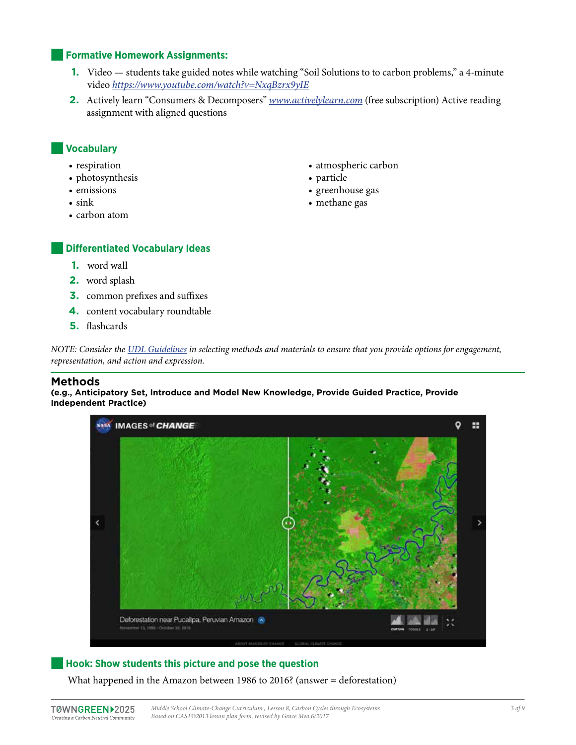#### **Formative Homework Assignments:**

- **1.** Video students take guided notes while watching "Soil Solutions to to carbon problems," a 4-minute video *<https://www.youtube.com/watch?v=NxqBzrx9yIE>*
- **2.** Actively learn "Consumers & Decomposers" *[www.activelylearn.com](http://www.activelylearn.com)* (free subscription) Active reading assignment with aligned questions

### ■**Vocabulary**

- respiration
- photosynthesis
- emissions
- sink
- carbon atom
- atmospheric carbon
- particle
- greenhouse gas
- methane gas

#### **Differentiated Vocabulary Ideas**

- **1.** word wall
- **2.** word splash
- **3.** common prefixes and suffixes
- **4.** content vocabulary roundtable
- **5.** flashcards

*NOTE: Consider the [UDL Guidelines](http://bit.ly/1d5bjtS) in selecting methods and materials to ensure that you provide options for engagement, representation, and action and expression.*

#### **Methods**

**(e.g., Anticipatory Set, Introduce and Model New Knowledge, Provide Guided Practice, Provide Independent Practice)**



#### ■**Hook: Show students this picture and pose the question**

What happened in the Amazon between 1986 to 2016? (answer = deforestation)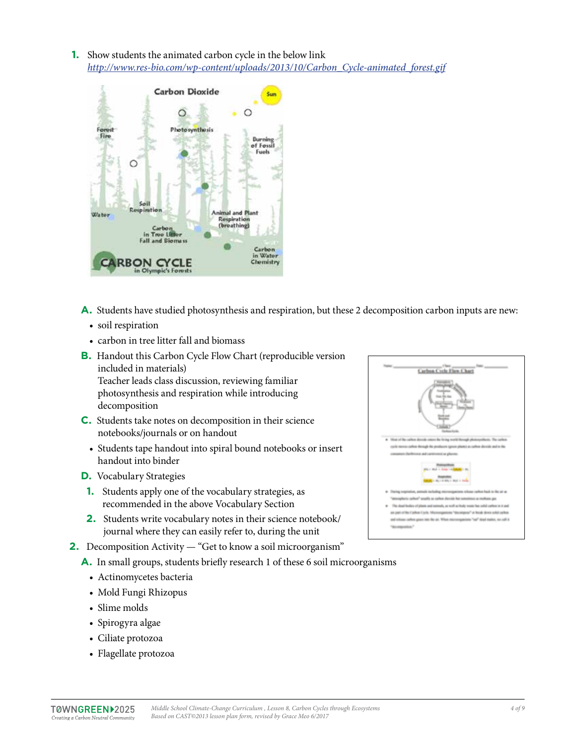**1.** Show students the animated carbon cycle in the below link *[http://www.res-bio.com/wp-content/uploads/2013/10/Carbon\\_Cycle-animated\\_forest.gif](http://www.res-bio.com/wp-content/uploads/2013/10/Carbon_Cycle-animated_forest.gif)* 



- **A.** Students have studied photosynthesis and respiration, but these 2 decomposition carbon inputs are new:
	- soil respiration
	- carbon in tree litter fall and biomass
- **B.** Handout this Carbon Cycle Flow Chart (reproducible version included in materials) Teacher leads class discussion, reviewing familiar photosynthesis and respiration while introducing decomposition
- **C.** Students take notes on decomposition in their science notebooks/journals or on handout
	- Students tape handout into spiral bound notebooks or insert handout into binder
- **D.** Vocabulary Strategies
- **1.** Students apply one of the vocabulary strategies, as recommended in the above Vocabulary Section
- **2.** Students write vocabulary notes in their science notebook/ journal where they can easily refer to, during the unit
- **2.** Decomposition Activity "Get to know a soil microorganism"
	- **A.** In small groups, students briefly research 1 of these 6 soil microorganisms
		- Actinomycetes bacteria
		- Mold Fungi Rhizopus
		- Slime molds
		- Spirogyra algae
		- Ciliate protozoa
		- Flagellate protozoa

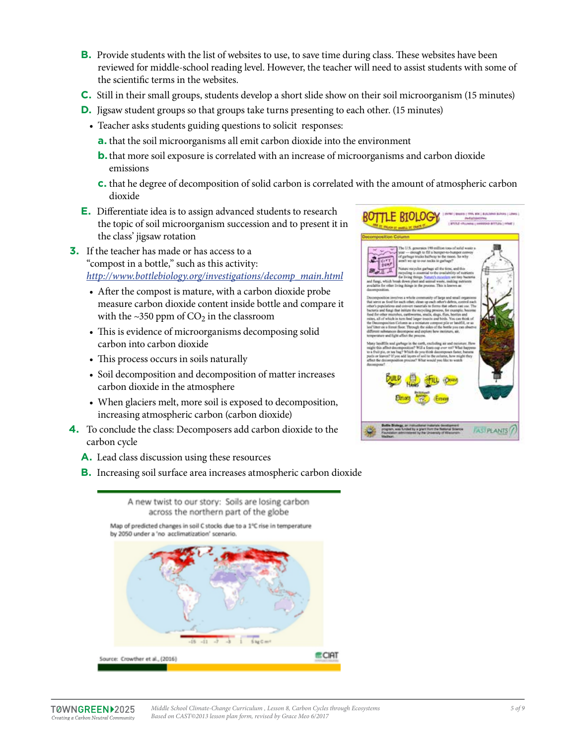- **B.** Provide students with the list of websites to use, to save time during class. These websites have been reviewed for middle-school reading level. However, the teacher will need to assist students with some of the scientific terms in the websites.
- **C.** Still in their small groups, students develop a short slide show on their soil microorganism (15 minutes)
- **D.** Jigsaw student groups so that groups take turns presenting to each other. (15 minutes)
	- Teacher asks students guiding questions to solicit responses:
		- **a.** that the soil microorganisms all emit carbon dioxide into the environment
		- **b.** that more soil exposure is correlated with an increase of microorganisms and carbon dioxide emissions
		- **c.** that he degree of decomposition of solid carbon is correlated with the amount of atmospheric carbon dioxide
- **E.** Differentiate idea is to assign advanced students to research the topic of soil microorganism succession and to present it in the class' jigsaw rotation
- **3.** If the teacher has made or has access to a "compost in a bottle," such as this activity: *[http://www.bottlebiology.org/investigations/decomp\\_main.html](http://www.bottlebiology.org/investigations/decomp_main.html)*
	- After the compost is mature, with a carbon dioxide probe measure carbon dioxide content inside bottle and compare it with the  $\sim$ 350 ppm of CO<sub>2</sub> in the classroom
	- This is evidence of microorganisms decomposing solid carbon into carbon dioxide
	- This process occurs in soils naturally
	- Soil decomposition and decomposition of matter increases carbon dioxide in the atmosphere
	- When glaciers melt, more soil is exposed to decomposition, increasing atmospheric carbon (carbon dioxide)
- **4.** To conclude the class: Decomposers add carbon dioxide to the carbon cycle
	- **A.** Lead class discussion using these resources
	- **B.** Increasing soil surface area increases atmospheric carbon dioxide



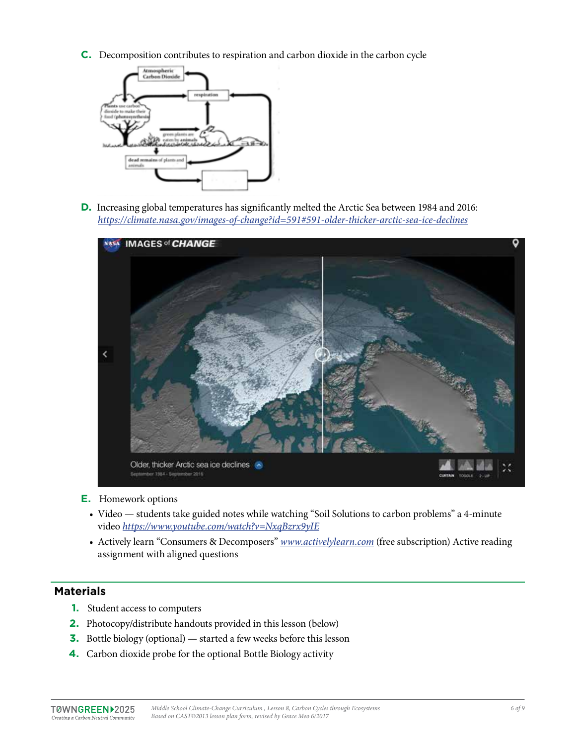**C.** Decomposition contributes to respiration and carbon dioxide in the carbon cycle



**D.** Increasing global temperatures has significantly melted the Arctic Sea between 1984 and 2016: *<https://climate.nasa.gov/images-of-change?id=591#591-older-thicker-arctic-sea-ice-declines>* 



- **E.** Homework options
	- Video students take guided notes while watching "Soil Solutions to carbon problems" a 4-minute video *<https://www.youtube.com/watch?v=NxqBzrx9yIE>*
	- Actively learn "Consumers & Decomposers" *[www.activelylearn.com](http://www.activelylearn.com)* (free subscription) Active reading assignment with aligned questions

## **Materials**

- **1.** Student access to computers
- **2.** Photocopy/distribute handouts provided in this lesson (below)
- **3.** Bottle biology (optional) started a few weeks before this lesson
- **4.** Carbon dioxide probe for the optional Bottle Biology activity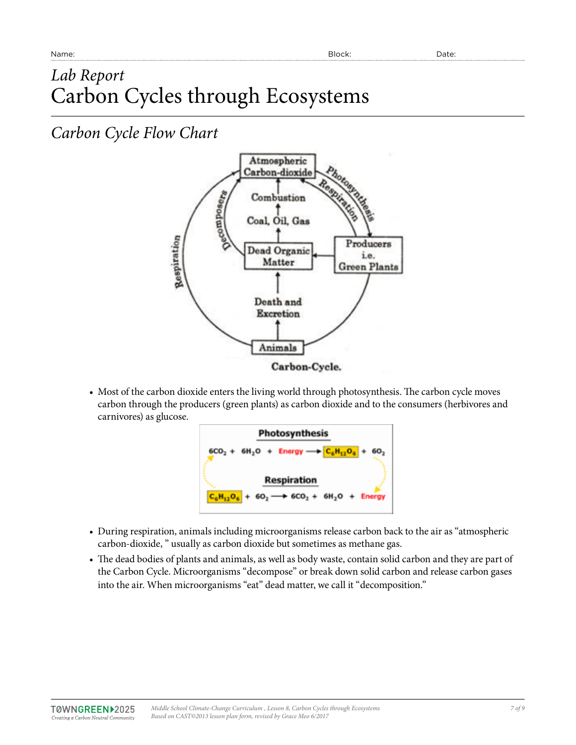## *Lab Report* Carbon Cycles through Ecosystems

## *Carbon Cycle Flow Chart*



• Most of the carbon dioxide enters the living world through photosynthesis. The carbon cycle moves carbon through the producers (green plants) as carbon dioxide and to the consumers (herbivores and carnivores) as glucose.



- During respiration, animals including microorganisms release carbon back to the air as "atmospheric carbon-dioxide, " usually as carbon dioxide but sometimes as methane gas.
- The dead bodies of plants and animals, as well as body waste, contain solid carbon and they are part of the Carbon Cycle. Microorganisms "decompose" or break down solid carbon and release carbon gases into the air. When microorganisms "eat" dead matter, we call it "decomposition."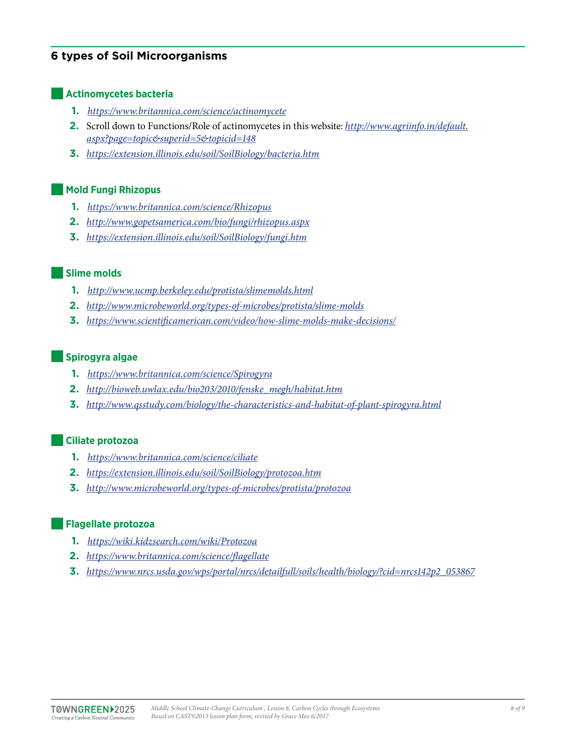## **6 types of Soil Microorganisms**

#### ■**Actinomycetes bacteria**

- **1.** *<https://www.britannica.com/science/actinomycete>*
- **2.** Scroll down to Functions/Role of actinomycetes in this website: *[http://www.agriinfo.in/default.](http://www.agriinfo.in/default.aspx?page=topic&superid=5&topicid=148) [aspx?page=topic&superid=5&topicid=148](http://www.agriinfo.in/default.aspx?page=topic&superid=5&topicid=148)*
- **3.** *<https://extension.illinois.edu/soil/SoilBiology/bacteria.htm>*

#### ■**Mold Fungi Rhizopus**

- **1.** *<https://www.britannica.com/science/Rhizopus>*
- **2.** *<http://www.gopetsamerica.com/bio/fungi/rhizopus.aspx>*
- **3.** *<https://extension.illinois.edu/soil/SoilBiology/fungi.htm>*

#### ■**Slime molds**

- **1.** *<http://www.ucmp.berkeley.edu/protista/slimemolds.html>*
- **2.** *<http://www.microbeworld.org/types-of-microbes/protista/slime-molds>*
- **3.** *<https://www.scientificamerican.com/video/how-slime-molds-make-decisions/>*

#### ■**Spirogyra algae**

- **1.** *<https://www.britannica.com/science/Spirogyra>*
- **2.** *[http://bioweb.uwlax.edu/bio203/2010/fenske\\_megh/habitat.htm](http://bioweb.uwlax.edu/bio203/2010/fenske_megh/habitat.htm)*
- **3.** *<http://www.qsstudy.com/biology/the-characteristics-and-habitat-of-plant-spirogyra.html>*

#### ■**Ciliate protozoa**

- **1.** *<https://www.britannica.com/science/ciliate>*
- **2.** *<https://extension.illinois.edu/soil/SoilBiology/protozoa.htm>*
- **3.** *<http://www.microbeworld.org/types-of-microbes/protista/protozoa>*

#### ■**Flagellate protozoa**

- **1.** *<https://wiki.kidzsearch.com/wiki/Protozoa>*
- **2.** *<https://www.britannica.com/science/flagellate>*
- **3.** *[https://www.nrcs.usda.gov/wps/portal/nrcs/detailfull/soils/health/biology/?cid=nrcs142p2\\_053867](https://www.nrcs.usda.gov/wps/portal/nrcs/detailfull/soils/health/biology/?cid=nrcs142p2_053867)*